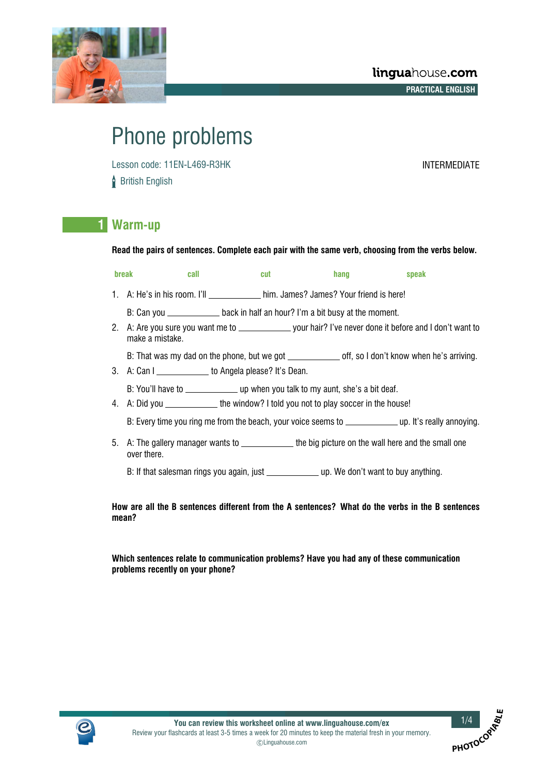

# Phone problems

Lesson code: 11EN-L469-R3HK INTERMEDIATE **British English** 

**PHOTOCO**RALLE

## **1 Warm-up**

**Read the pairs of sentences. Complete each pair with the same verb, choosing from the verbs below.**

| break<br>call   | cut                                                                                | hang | speak |
|-----------------|------------------------------------------------------------------------------------|------|-------|
|                 | 1. A: He's in his room. I'll http://www.him James? James? Your friend is here!     |      |       |
|                 | B: Can you ___________________ back in half an hour? I'm a bit busy at the moment. |      |       |
| make a mistake. |                                                                                    |      |       |

B: That was my dad on the phone, but we got \_\_\_\_\_\_\_\_\_\_\_\_ off, so I don't know when he's arriving.

3. A: Can I \_\_\_\_\_\_\_\_\_\_\_\_\_ to Angela please? It's Dean.

B: You'll have to \_\_\_\_\_\_\_\_\_\_\_\_\_\_ up when you talk to my aunt, she's a bit deaf.

4. A: Did you \_\_\_\_\_\_\_\_\_\_\_\_\_the window? I told you not to play soccer in the house!

B: Every time you ring me from the beach, your voice seems to \_\_\_\_\_\_\_\_\_\_\_\_\_\_ up. It's really annoying.

5. A: The gallery manager wants to \_\_\_\_\_\_\_\_\_\_\_\_\_ the big picture on the wall here and the small one over there.

B: If that salesman rings you again, just \_\_\_\_\_\_\_\_\_\_\_\_\_\_ up. We don't want to buv anything.

**How are all the B sentences different from the A sentences? What do the verbs in the B sentences mean?**

**Which sentences relate to communication problems? Have you had any of these communication problems recently on your phone?**

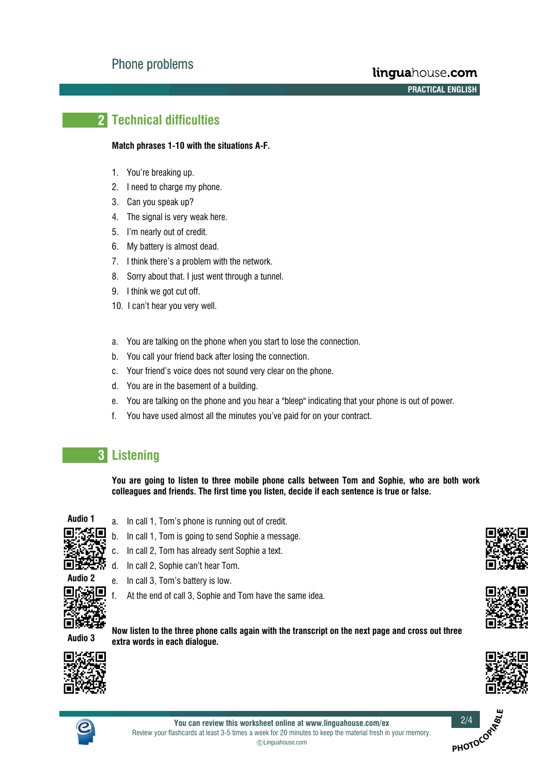# **2 Technical difficulties**

#### **Match phrases 1-10 with the situations A-F.**

- 1. You're breaking up.
- 2. I need to charge my phone.
- 3. Can you speak up?
- 4. The signal is very weak here.
- 5. I'm nearly out of credit.
- 6. My battery is almost dead.
- 7. I think there's a problem with the network.
- 8. Sorry about that. I just went through a tunnel.
- 9. I think we got cut off.
- 10. I can't hear you very well.
- a. You are talking on the phone when you start to lose the connection.
- b. You call your friend back after losing the connection.
- c. Your friend's voice does not sound very clear on the phone.
- d. You are in the basement of a building.
- e. You are talking on the phone and you hear a "bleep" indicating that your phone is out of power.
- f. You have used almost all the minutes you've paid for on your contract.

# **3 Listening**

**You are going to listen to three mobile phone calls between Tom and Sophie, who are both work colleagues and friends. The first time you listen, decide if each sentence is true or false.**



- a. In call 1, Tom's phone is running out of credit.
- b. In call 1, Tom is going to send Sophie a message.
- c. In call 2, Tom has already sent Sophie a text.
- d. In call 2, Sophie can't hear Tom.



f. At the end of call 3, Sophie and Tom have the same idea.

**Audio 3**

**Now listen to the three phone calls again with the transcript on the next page and cross out three extra words in each dialogue.**









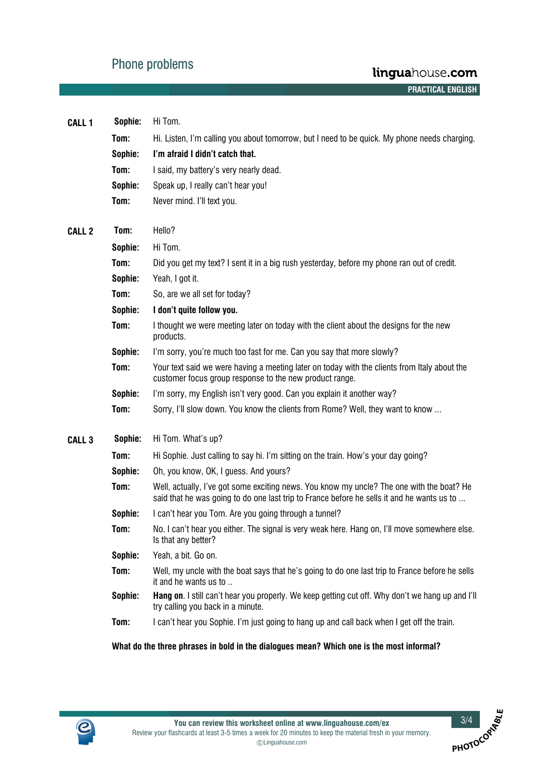# Phone problems

| <b>CALL 1</b>     | Sophie: | Hi Tom.                                                                                                                                                                                 |
|-------------------|---------|-----------------------------------------------------------------------------------------------------------------------------------------------------------------------------------------|
|                   | Tom:    | Hi. Listen, I'm calling you about tomorrow, but I need to be quick. My phone needs charging.                                                                                            |
|                   | Sophie: | I'm afraid I didn't catch that.                                                                                                                                                         |
|                   | Tom:    | I said, my battery's very nearly dead.                                                                                                                                                  |
|                   | Sophie: | Speak up, I really can't hear you!                                                                                                                                                      |
|                   | Tom:    | Never mind. I'll text you.                                                                                                                                                              |
| <b>CALL 2</b>     | Tom:    | Hello?                                                                                                                                                                                  |
|                   | Sophie: | Hi Tom.                                                                                                                                                                                 |
|                   | Tom:    | Did you get my text? I sent it in a big rush yesterday, before my phone ran out of credit.                                                                                              |
|                   | Sophie: | Yeah, I got it.                                                                                                                                                                         |
|                   | Tom:    | So, are we all set for today?                                                                                                                                                           |
|                   | Sophie: | I don't quite follow you.                                                                                                                                                               |
|                   | Tom:    | I thought we were meeting later on today with the client about the designs for the new<br>products.                                                                                     |
|                   | Sophie: | I'm sorry, you're much too fast for me. Can you say that more slowly?                                                                                                                   |
|                   | Tom:    | Your text said we were having a meeting later on today with the clients from Italy about the<br>customer focus group response to the new product range.                                 |
|                   | Sophie: | I'm sorry, my English isn't very good. Can you explain it another way?                                                                                                                  |
|                   | Tom:    | Sorry, I'll slow down. You know the clients from Rome? Well, they want to know                                                                                                          |
| CALL <sub>3</sub> | Sophie: | Hi Tom. What's up?                                                                                                                                                                      |
|                   | Tom:    | Hi Sophie. Just calling to say hi. I'm sitting on the train. How's your day going?                                                                                                      |
|                   | Sophie: | Oh, you know, OK, I guess. And yours?                                                                                                                                                   |
|                   | Tom:    | Well, actually, I've got some exciting news. You know my uncle? The one with the boat? He<br>said that he was going to do one last trip to France before he sells it and he wants us to |
|                   | Sophie: | I can't hear you Tom. Are you going through a tunnel?                                                                                                                                   |
|                   | Tom:    | No. I can't hear you either. The signal is very weak here. Hang on, I'll move somewhere else<br>Is that any better?                                                                     |
|                   | Sophie: | Yeah, a bit. Go on.                                                                                                                                                                     |
|                   | Tom:    | Well, my uncle with the boat says that he's going to do one last trip to France before he sells<br>it and he wants us to                                                                |
|                   | Sophie: | Hang on. I still can't hear you properly. We keep getting cut off. Why don't we hang up and I'll<br>try calling you back in a minute.                                                   |
|                   | Tom:    | I can't hear you Sophie. I'm just going to hang up and call back when I get off the train.                                                                                              |
|                   |         | What do the three phrases in bold in the dialogues mean? Which one is the most informal?                                                                                                |



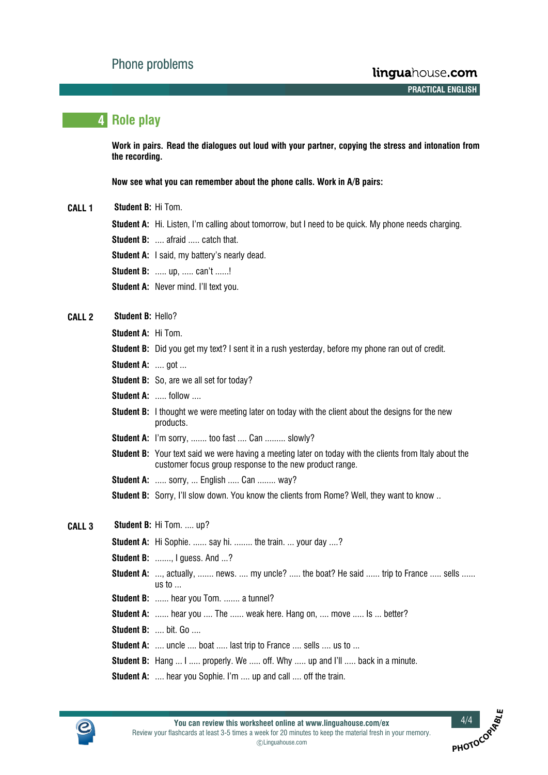**A A A A PRACTICAL ENGLISH**

**PHOTOCO**O

## **4 Role play**

**Work in pairs. Read the dialogues out loud with your partner, copying the stress and intonation from the recording.**

**Now see what you can remember about the phone calls. Work in A/B pairs:**

- **CALL 1 Student B:** Hi Tom.
	- **Student A:** Hi. Listen, I'm calling about tomorrow, but I need to be quick. My phone needs charging.
	- **Student B: ....** afraid ..... catch that.
	- **Student A:** I said, my battery's nearly dead.
	- **Student B:** ..... up, ..... can't ......!
	- **Student A: Never mind. I'll text you.**
- **CALL 2 Student B:** Hello?
	- **Student A:** Hi Tom.
	- **Student B:** Did you get my text? I sent it in a rush yesterday, before my phone ran out of credit.
	- **Student A: .... got ...**
	- **Student B:** So, are we all set for today?
	- **Student A:** ..... follow ....
	- **Student B:** I thought we were meeting later on today with the client about the designs for the new products.
	- **Student A:** I'm sorry, ....... too fast .... Can ......... slowly?
	- **Student B:** Your text said we were having a meeting later on today with the clients from Italy about the customer focus group response to the new product range.
	- **Student A:** ..... sorry, ... English ..... Can ........ way?
	- **Student B:** Sorry, I'll slow down. You know the clients from Rome? Well, they want to know ..

## **CALL 3 Student B:** Hi Tom. .... up?

**Student A:** Hi Sophie. ...... say hi. ........ the train. ... your day ....?

- **Student B: ......., I guess. And ...?**
- **Student A:** ..., actually, ....... news. .... my uncle? ..... the boat? He said ...... trip to France ..... sells ...... us to ...
- **Student B:** ...... hear you Tom. ....... a tunnel?
- **Student A:** ...... hear you .... The ...... weak here. Hang on, .... move ..... Is ... better?
- **Student B: .... bit. Go ....**
- **Student A:** .... uncle .... boat ..... last trip to France .... sells .... us to ...
- **Student B:** Hang ... I ..... properly. We ..... off. Why ..... up and I'll ..... back in a minute.
- **Student A:** .... hear you Sophie. I'm .... up and call .... off the train.

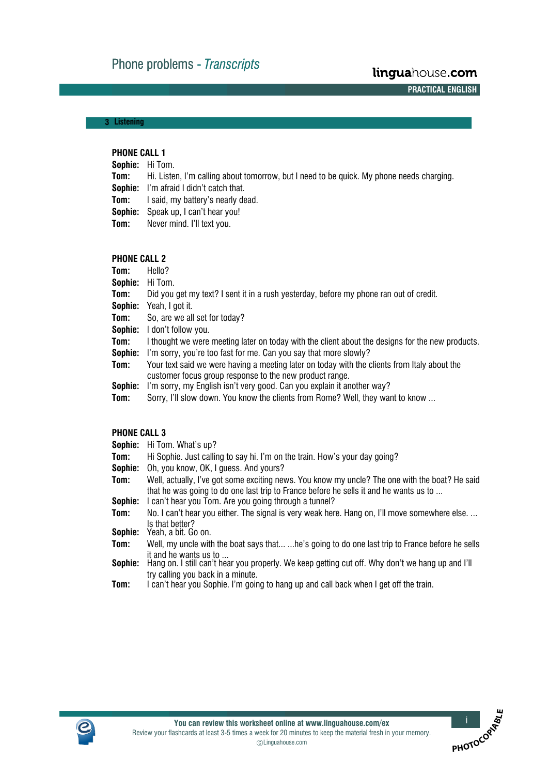**A A A A PRACTICAL ENGLISH**

**PHOTOCO**OR

## **3**- **Listening**

## **PHONE CALL 1**

|        | <b>Sophie:</b> Hi Tom.                                                                               |
|--------|------------------------------------------------------------------------------------------------------|
|        | <b>Tom:</b> Hi. Listen, I'm calling about tomorrow, but I need to be quick. My phone needs charging. |
|        | <b>Sophie:</b> I'm afraid I didn't catch that.                                                       |
|        | <b>Tom:</b> I said, my battery's nearly dead.                                                        |
|        | <b>Sophie:</b> Speak up, I can't hear you!                                                           |
| Tom: T | Never mind. I'll text you.                                                                           |
|        |                                                                                                      |

#### **PHONE CALL 2**

| Tom:    | Hello?                                                                                                                                                  |
|---------|---------------------------------------------------------------------------------------------------------------------------------------------------------|
| Sophie: | Hi Tom.                                                                                                                                                 |
| Tom:    | Did you get my text? I sent it in a rush yesterday, before my phone ran out of credit.                                                                  |
| Sophie: | Yeah, I got it.                                                                                                                                         |
| Tom:    | So, are we all set for today?                                                                                                                           |
| Sophie: | I don't follow you.                                                                                                                                     |
| Tom:    | I thought we were meeting later on today with the client about the designs for the new products.                                                        |
| Sophie: | I'm sorry, you're too fast for me. Can you say that more slowly?                                                                                        |
| Tom:    | Your text said we were having a meeting later on today with the clients from Italy about the<br>customer focus group response to the new product range. |
| Sophie: | I'm sorry, my English isn't very good. Can you explain it another way?                                                                                  |
| Tom:    | Sorry, I'll slow down. You know the clients from Rome? Well, they want to know                                                                          |
|         |                                                                                                                                                         |

#### **PHONE CALL 3**

| Sophie: | Hi Tom. What's up?                                                                                                                                                                      |
|---------|-----------------------------------------------------------------------------------------------------------------------------------------------------------------------------------------|
| Tom:    | Hi Sophie. Just calling to say hi. I'm on the train. How's your day going?                                                                                                              |
| Sophie: | Oh, you know, OK, I guess. And yours?                                                                                                                                                   |
| Tom:    | Well, actually, I've got some exciting news. You know my uncle? The one with the boat? He said<br>that he was going to do one last trip to France before he sells it and he wants us to |
| Sophie: | I can't hear you Tom. Are you going through a tunnel?                                                                                                                                   |
| Tom:    | No. I can't hear you either. The signal is very weak here. Hang on, I'll move somewhere else.                                                                                           |
| Sophie: | Is that better?<br>Yeah, a bit. Go on.                                                                                                                                                  |
| Tom:    | Well, my uncle with the boat says that he's going to do one last trip to France before he sells                                                                                         |
| Sophie: | it and he wants us to<br>Hang on. I still can't hear you properly. We keep getting cut off. Why don't we hang up and I'll                                                               |
|         | try calling you back in a minute.                                                                                                                                                       |
| Tom:    | can't hear you Sophie. I'm going to hang up and call back when I get off the train.                                                                                                     |

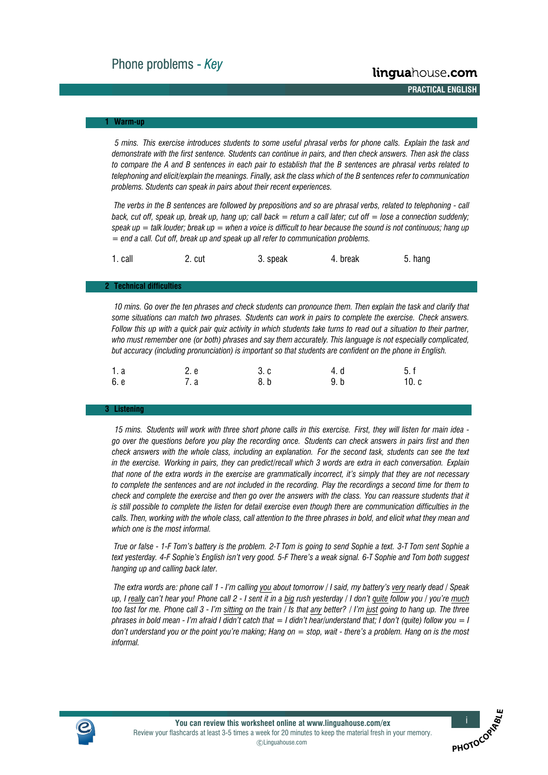**A A A A PRACTICAL ENGLISH**

#### **1**- **Warm-up**

*5 mins. This exercise introduces students to some useful phrasal verbs for phone calls. Explain the task and demonstrate with the first sentence. Students can continue in pairs, and then check answers. Then ask the class to compare the A and B sentences in each pair to establish that the B sentences are phrasal verbs related to telephoning and elicit/explain the meanings. Finally, ask the class which of the B sentences refer to communication problems. Students can speak in pairs about their recent experiences.*

*The verbs in the B sentences are followed by prepositions and so are phrasal verbs, related to telephoning - call back, cut off, speak up, break up, hang up; call back = return a call later; cut off = lose a connection suddenly; speak up = talk louder; break up = when a voice is difficult to hear because the sound is not continuous; hang up = end a call. Cut off, break up and speak up all refer to communication problems.*

| 1. call | '. cut | 3. speak | 4. break | 5. hang |
|---------|--------|----------|----------|---------|
|---------|--------|----------|----------|---------|

#### **2**- **Technical difficulties**

*10 mins. Go over the ten phrases and check students can pronounce them. Then explain the task and clarify that some situations can match two phrases. Students can work in pairs to complete the exercise. Check answers. Follow this up with a quick pair quiz activity in which students take turns to read out a situation to their partner, who must remember one (or both) phrases and say them accurately. This language is not especially complicated, but accuracy (including pronunciation) is important so that students are confident on the phone in English.*

| 1. a | 2. e | 3. c | 4. d | 5. f |
|------|------|------|------|------|
| 6. е | 7. a | 8. b | 9. b | 10.c |

#### **3**- **Listening**

*15 mins. Students will work with three short phone calls in this exercise. First, they will listen for main idea go over the questions before you play the recording once. Students can check answers in pairs first and then check answers with the whole class, including an explanation. For the second task, students can see the text in the exercise. Working in pairs, they can predict/recall which 3 words are extra in each conversation. Explain that none of the extra words in the exercise are grammatically incorrect, it's simply that they are not necessary to complete the sentences and are not included in the recording. Play the recordings a second time for them to check and complete the exercise and then go over the answers with the class. You can reassure students that it is still possible to complete the listen for detail exercise even though there are communication difficulties in the calls. Then, working with the whole class, call attention to the three phrases in bold, and elicit what they mean and which one is the most informal.*

*True or false - 1-F Tom's battery is the problem. 2-T Tom is going to send Sophie a text. 3-T Tom sent Sophie a text yesterday. 4-F Sophie's English isn't very good. 5-F There's a weak signal. 6-T Sophie and Tom both suggest hanging up and calling back later.*

*The extra words are: phone call 1 - I'm calling you about tomorrow / I said, my battery's very nearly dead / Speak up, I really can't hear you! Phone call 2 - I sent it in a big rush yesterday / I don't quite follow you / you're much too fast for me. Phone call 3 - I'm sitting on the train / Is that any better? / I'm just going to hang up. The three phrases in bold mean - I'm afraid I didn't catch that = I didn't hear/understand that; I don't (quite) follow you = I don't understand you or the point you're making; Hang on = stop, wait - there's a problem. Hang on is the most informal.*